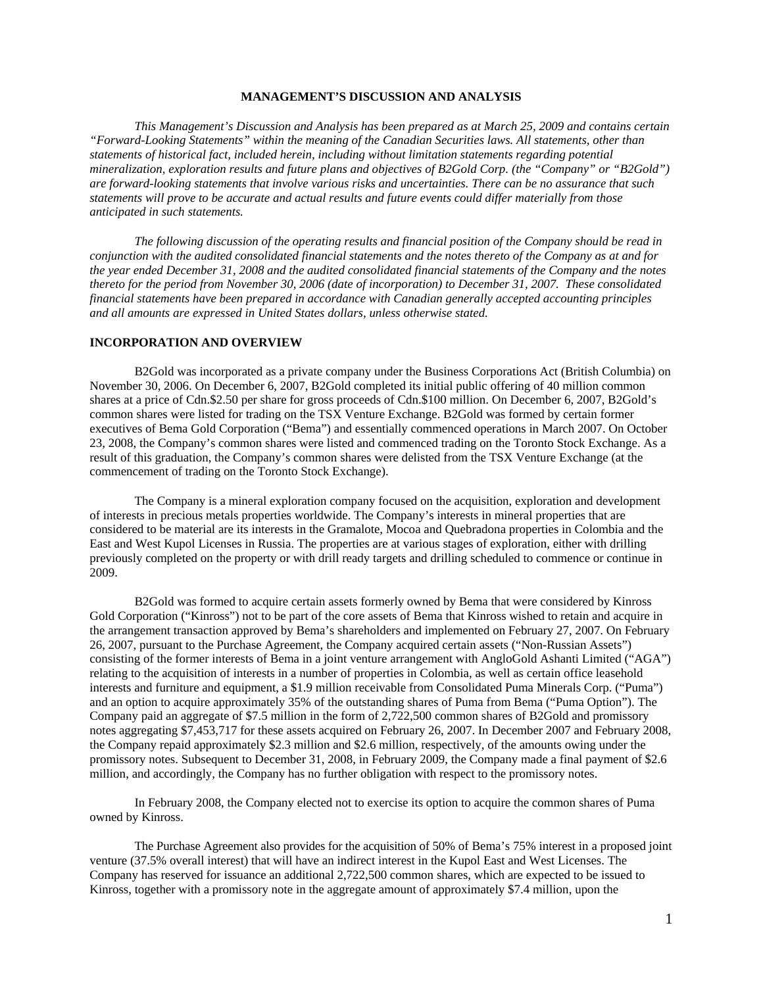# **MANAGEMENT'S DISCUSSION AND ANALYSIS**

*This Management's Discussion and Analysis has been prepared as at March 25, 2009 and contains certain "Forward-Looking Statements" within the meaning of the Canadian Securities laws. All statements, other than statements of historical fact, included herein, including without limitation statements regarding potential mineralization, exploration results and future plans and objectives of B2Gold Corp. (the "Company" or "B2Gold") are forward-looking statements that involve various risks and uncertainties. There can be no assurance that such statements will prove to be accurate and actual results and future events could differ materially from those anticipated in such statements.* 

*The following discussion of the operating results and financial position of the Company should be read in conjunction with the audited consolidated financial statements and the notes thereto of the Company as at and for the year ended December 31, 2008 and the audited consolidated financial statements of the Company and the notes thereto for the period from November 30, 2006 (date of incorporation) to December 31, 2007. These consolidated financial statements have been prepared in accordance with Canadian generally accepted accounting principles and all amounts are expressed in United States dollars, unless otherwise stated.* 

## **INCORPORATION AND OVERVIEW**

B2Gold was incorporated as a private company under the Business Corporations Act (British Columbia) on November 30, 2006. On December 6, 2007, B2Gold completed its initial public offering of 40 million common shares at a price of Cdn.\$2.50 per share for gross proceeds of Cdn.\$100 million. On December 6, 2007, B2Gold's common shares were listed for trading on the TSX Venture Exchange. B2Gold was formed by certain former executives of Bema Gold Corporation ("Bema") and essentially commenced operations in March 2007. On October 23, 2008, the Company's common shares were listed and commenced trading on the Toronto Stock Exchange. As a result of this graduation, the Company's common shares were delisted from the TSX Venture Exchange (at the commencement of trading on the Toronto Stock Exchange).

The Company is a mineral exploration company focused on the acquisition, exploration and development of interests in precious metals properties worldwide. The Company's interests in mineral properties that are considered to be material are its interests in the Gramalote, Mocoa and Quebradona properties in Colombia and the East and West Kupol Licenses in Russia. The properties are at various stages of exploration, either with drilling previously completed on the property or with drill ready targets and drilling scheduled to commence or continue in 2009.

B2Gold was formed to acquire certain assets formerly owned by Bema that were considered by Kinross Gold Corporation ("Kinross") not to be part of the core assets of Bema that Kinross wished to retain and acquire in the arrangement transaction approved by Bema's shareholders and implemented on February 27, 2007. On February 26, 2007, pursuant to the Purchase Agreement, the Company acquired certain assets ("Non-Russian Assets") consisting of the former interests of Bema in a joint venture arrangement with AngloGold Ashanti Limited ("AGA") relating to the acquisition of interests in a number of properties in Colombia, as well as certain office leasehold interests and furniture and equipment, a \$1.9 million receivable from Consolidated Puma Minerals Corp. ("Puma") and an option to acquire approximately 35% of the outstanding shares of Puma from Bema ("Puma Option"). The Company paid an aggregate of \$7.5 million in the form of 2,722,500 common shares of B2Gold and promissory notes aggregating \$7,453,717 for these assets acquired on February 26, 2007. In December 2007 and February 2008, the Company repaid approximately \$2.3 million and \$2.6 million, respectively, of the amounts owing under the promissory notes. Subsequent to December 31, 2008, in February 2009, the Company made a final payment of \$2.6 million, and accordingly, the Company has no further obligation with respect to the promissory notes.

In February 2008, the Company elected not to exercise its option to acquire the common shares of Puma owned by Kinross.

The Purchase Agreement also provides for the acquisition of 50% of Bema's 75% interest in a proposed joint venture (37.5% overall interest) that will have an indirect interest in the Kupol East and West Licenses. The Company has reserved for issuance an additional 2,722,500 common shares, which are expected to be issued to Kinross, together with a promissory note in the aggregate amount of approximately \$7.4 million, upon the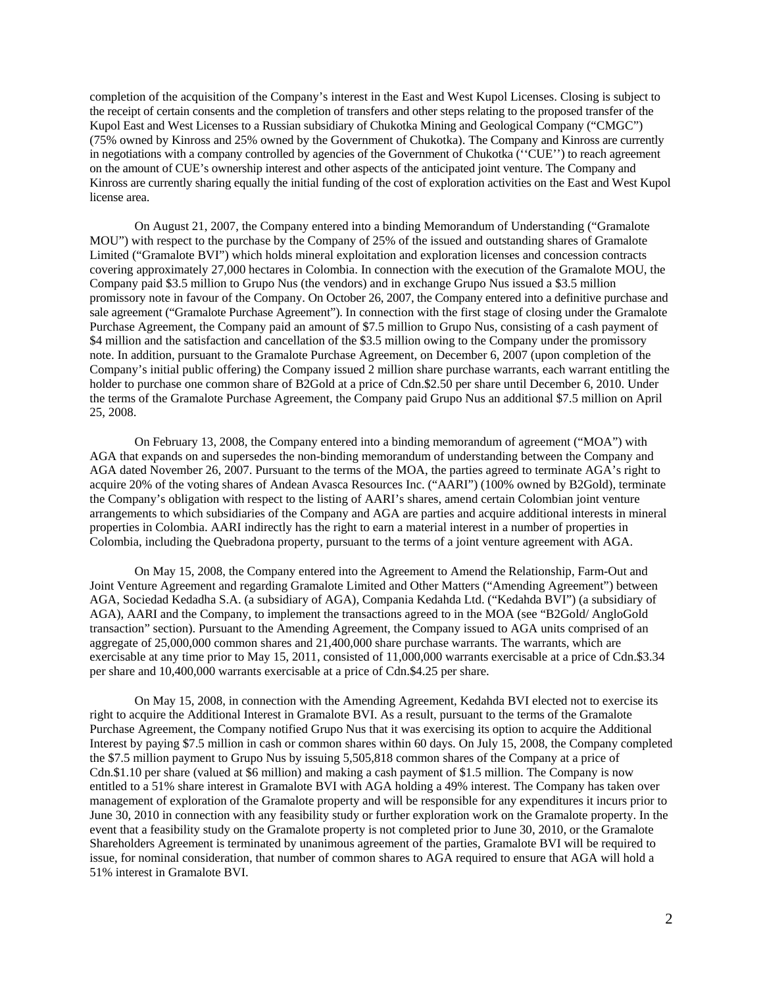completion of the acquisition of the Company's interest in the East and West Kupol Licenses. Closing is subject to the receipt of certain consents and the completion of transfers and other steps relating to the proposed transfer of the Kupol East and West Licenses to a Russian subsidiary of Chukotka Mining and Geological Company ("CMGC") (75% owned by Kinross and 25% owned by the Government of Chukotka). The Company and Kinross are currently in negotiations with a company controlled by agencies of the Government of Chukotka (''CUE'') to reach agreement on the amount of CUE's ownership interest and other aspects of the anticipated joint venture. The Company and Kinross are currently sharing equally the initial funding of the cost of exploration activities on the East and West Kupol license area.

On August 21, 2007, the Company entered into a binding Memorandum of Understanding ("Gramalote MOU") with respect to the purchase by the Company of 25% of the issued and outstanding shares of Gramalote Limited ("Gramalote BVI") which holds mineral exploitation and exploration licenses and concession contracts covering approximately 27,000 hectares in Colombia. In connection with the execution of the Gramalote MOU, the Company paid \$3.5 million to Grupo Nus (the vendors) and in exchange Grupo Nus issued a \$3.5 million promissory note in favour of the Company. On October 26, 2007, the Company entered into a definitive purchase and sale agreement ("Gramalote Purchase Agreement"). In connection with the first stage of closing under the Gramalote Purchase Agreement, the Company paid an amount of \$7.5 million to Grupo Nus, consisting of a cash payment of \$4 million and the satisfaction and cancellation of the \$3.5 million owing to the Company under the promissory note. In addition, pursuant to the Gramalote Purchase Agreement, on December 6, 2007 (upon completion of the Company's initial public offering) the Company issued 2 million share purchase warrants, each warrant entitling the holder to purchase one common share of B2Gold at a price of Cdn.\$2.50 per share until December 6, 2010. Under the terms of the Gramalote Purchase Agreement, the Company paid Grupo Nus an additional \$7.5 million on April 25, 2008.

On February 13, 2008, the Company entered into a binding memorandum of agreement ("MOA") with AGA that expands on and supersedes the non-binding memorandum of understanding between the Company and AGA dated November 26, 2007. Pursuant to the terms of the MOA, the parties agreed to terminate AGA's right to acquire 20% of the voting shares of Andean Avasca Resources Inc. ("AARI") (100% owned by B2Gold), terminate the Company's obligation with respect to the listing of AARI's shares, amend certain Colombian joint venture arrangements to which subsidiaries of the Company and AGA are parties and acquire additional interests in mineral properties in Colombia. AARI indirectly has the right to earn a material interest in a number of properties in Colombia, including the Quebradona property, pursuant to the terms of a joint venture agreement with AGA.

On May 15, 2008, the Company entered into the Agreement to Amend the Relationship, Farm-Out and Joint Venture Agreement and regarding Gramalote Limited and Other Matters ("Amending Agreement") between AGA, Sociedad Kedadha S.A. (a subsidiary of AGA), Compania Kedahda Ltd. ("Kedahda BVI") (a subsidiary of AGA), AARI and the Company, to implement the transactions agreed to in the MOA (see "B2Gold/ AngloGold transaction" section). Pursuant to the Amending Agreement, the Company issued to AGA units comprised of an aggregate of 25,000,000 common shares and 21,400,000 share purchase warrants. The warrants, which are exercisable at any time prior to May 15, 2011, consisted of 11,000,000 warrants exercisable at a price of Cdn.\$3.34 per share and 10,400,000 warrants exercisable at a price of Cdn.\$4.25 per share.

On May 15, 2008, in connection with the Amending Agreement, Kedahda BVI elected not to exercise its right to acquire the Additional Interest in Gramalote BVI. As a result, pursuant to the terms of the Gramalote Purchase Agreement, the Company notified Grupo Nus that it was exercising its option to acquire the Additional Interest by paying \$7.5 million in cash or common shares within 60 days. On July 15, 2008, the Company completed the \$7.5 million payment to Grupo Nus by issuing 5,505,818 common shares of the Company at a price of Cdn.\$1.10 per share (valued at \$6 million) and making a cash payment of \$1.5 million. The Company is now entitled to a 51% share interest in Gramalote BVI with AGA holding a 49% interest. The Company has taken over management of exploration of the Gramalote property and will be responsible for any expenditures it incurs prior to June 30, 2010 in connection with any feasibility study or further exploration work on the Gramalote property. In the event that a feasibility study on the Gramalote property is not completed prior to June 30, 2010, or the Gramalote Shareholders Agreement is terminated by unanimous agreement of the parties, Gramalote BVI will be required to issue, for nominal consideration, that number of common shares to AGA required to ensure that AGA will hold a 51% interest in Gramalote BVI.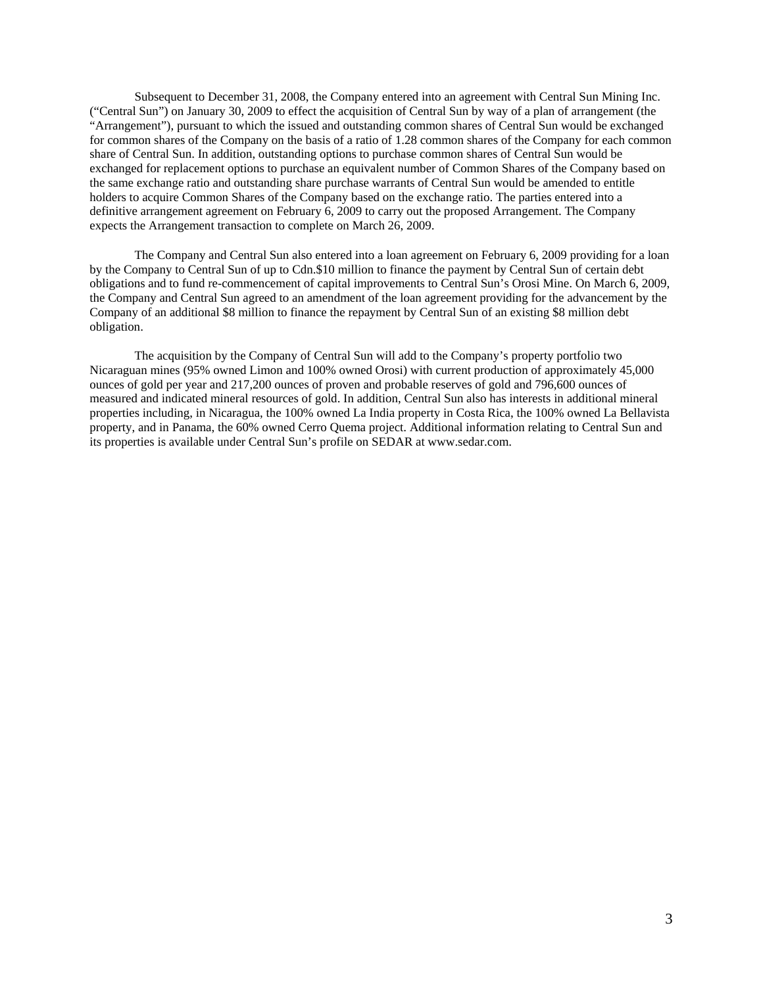Subsequent to December 31, 2008, the Company entered into an agreement with Central Sun Mining Inc. ("Central Sun") on January 30, 2009 to effect the acquisition of Central Sun by way of a plan of arrangement (the "Arrangement"), pursuant to which the issued and outstanding common shares of Central Sun would be exchanged for common shares of the Company on the basis of a ratio of 1.28 common shares of the Company for each common share of Central Sun. In addition, outstanding options to purchase common shares of Central Sun would be exchanged for replacement options to purchase an equivalent number of Common Shares of the Company based on the same exchange ratio and outstanding share purchase warrants of Central Sun would be amended to entitle holders to acquire Common Shares of the Company based on the exchange ratio. The parties entered into a definitive arrangement agreement on February 6, 2009 to carry out the proposed Arrangement. The Company expects the Arrangement transaction to complete on March 26, 2009.

The Company and Central Sun also entered into a loan agreement on February 6, 2009 providing for a loan by the Company to Central Sun of up to Cdn.\$10 million to finance the payment by Central Sun of certain debt obligations and to fund re-commencement of capital improvements to Central Sun's Orosi Mine. On March 6, 2009, the Company and Central Sun agreed to an amendment of the loan agreement providing for the advancement by the Company of an additional \$8 million to finance the repayment by Central Sun of an existing \$8 million debt obligation.

The acquisition by the Company of Central Sun will add to the Company's property portfolio two Nicaraguan mines (95% owned Limon and 100% owned Orosi) with current production of approximately 45,000 ounces of gold per year and 217,200 ounces of proven and probable reserves of gold and 796,600 ounces of measured and indicated mineral resources of gold. In addition, Central Sun also has interests in additional mineral properties including, in Nicaragua, the 100% owned La India property in Costa Rica, the 100% owned La Bellavista property, and in Panama, the 60% owned Cerro Quema project. Additional information relating to Central Sun and its properties is available under Central Sun's profile on SEDAR at www.sedar.com.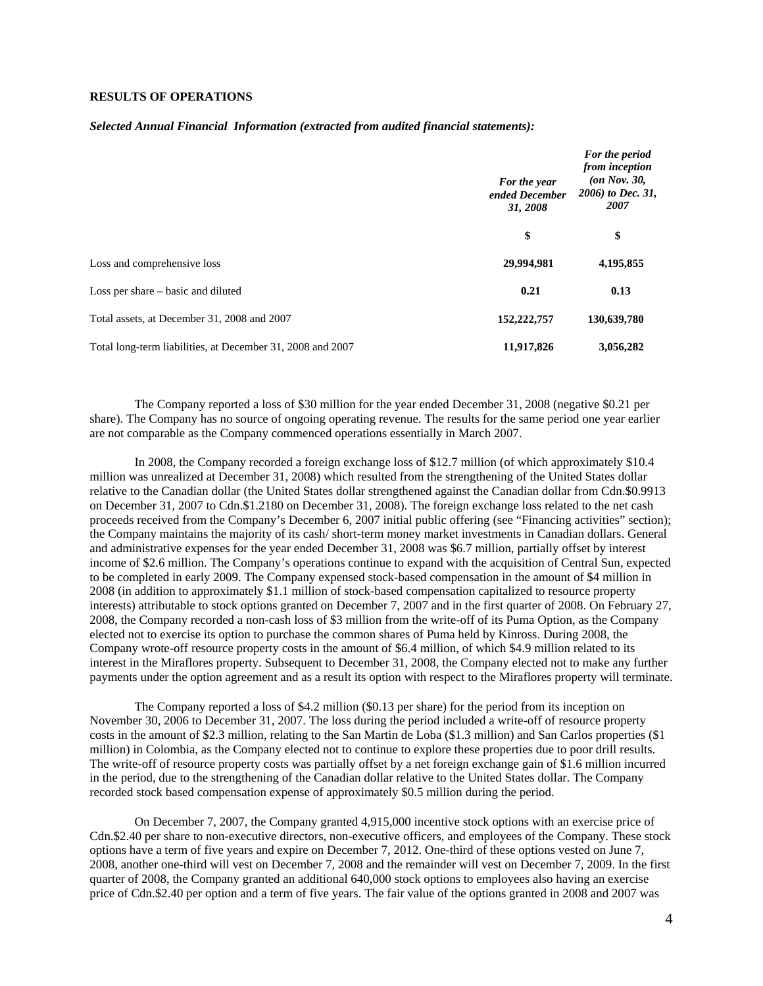# **RESULTS OF OPERATIONS**

### *Selected Annual Financial Information (extracted from audited financial statements):*

|                                                            | For the year<br>ended December<br>31, 2008 | For the period<br>from inception<br>$(on Nov. 30,$<br>2006) to Dec. 31,<br>2007 |  |
|------------------------------------------------------------|--------------------------------------------|---------------------------------------------------------------------------------|--|
|                                                            | \$                                         | \$                                                                              |  |
| Loss and comprehensive loss                                | 29,994,981                                 | 4,195,855                                                                       |  |
| Loss per share – basic and diluted                         | 0.21                                       | 0.13                                                                            |  |
| Total assets, at December 31, 2008 and 2007                | 152,222,757                                | 130,639,780                                                                     |  |
| Total long-term liabilities, at December 31, 2008 and 2007 | 11,917,826                                 | 3,056,282                                                                       |  |

The Company reported a loss of \$30 million for the year ended December 31, 2008 (negative \$0.21 per share). The Company has no source of ongoing operating revenue. The results for the same period one year earlier are not comparable as the Company commenced operations essentially in March 2007.

In 2008, the Company recorded a foreign exchange loss of \$12.7 million (of which approximately \$10.4 million was unrealized at December 31, 2008) which resulted from the strengthening of the United States dollar relative to the Canadian dollar (the United States dollar strengthened against the Canadian dollar from Cdn.\$0.9913 on December 31, 2007 to Cdn.\$1.2180 on December 31, 2008). The foreign exchange loss related to the net cash proceeds received from the Company's December 6, 2007 initial public offering (see "Financing activities" section); the Company maintains the majority of its cash/ short-term money market investments in Canadian dollars. General and administrative expenses for the year ended December 31, 2008 was \$6.7 million, partially offset by interest income of \$2.6 million. The Company's operations continue to expand with the acquisition of Central Sun, expected to be completed in early 2009. The Company expensed stock-based compensation in the amount of \$4 million in 2008 (in addition to approximately \$1.1 million of stock-based compensation capitalized to resource property interests) attributable to stock options granted on December 7, 2007 and in the first quarter of 2008. On February 27, 2008, the Company recorded a non-cash loss of \$3 million from the write-off of its Puma Option, as the Company elected not to exercise its option to purchase the common shares of Puma held by Kinross. During 2008, the Company wrote-off resource property costs in the amount of \$6.4 million, of which \$4.9 million related to its interest in the Miraflores property. Subsequent to December 31, 2008, the Company elected not to make any further payments under the option agreement and as a result its option with respect to the Miraflores property will terminate.

The Company reported a loss of \$4.2 million (\$0.13 per share) for the period from its inception on November 30, 2006 to December 31, 2007. The loss during the period included a write-off of resource property costs in the amount of \$2.3 million, relating to the San Martin de Loba (\$1.3 million) and San Carlos properties (\$1 million) in Colombia, as the Company elected not to continue to explore these properties due to poor drill results. The write-off of resource property costs was partially offset by a net foreign exchange gain of \$1.6 million incurred in the period, due to the strengthening of the Canadian dollar relative to the United States dollar. The Company recorded stock based compensation expense of approximately \$0.5 million during the period.

On December 7, 2007, the Company granted 4,915,000 incentive stock options with an exercise price of Cdn.\$2.40 per share to non-executive directors, non-executive officers, and employees of the Company. These stock options have a term of five years and expire on December 7, 2012. One-third of these options vested on June 7, 2008, another one-third will vest on December 7, 2008 and the remainder will vest on December 7, 2009. In the first quarter of 2008, the Company granted an additional 640,000 stock options to employees also having an exercise price of Cdn.\$2.40 per option and a term of five years. The fair value of the options granted in 2008 and 2007 was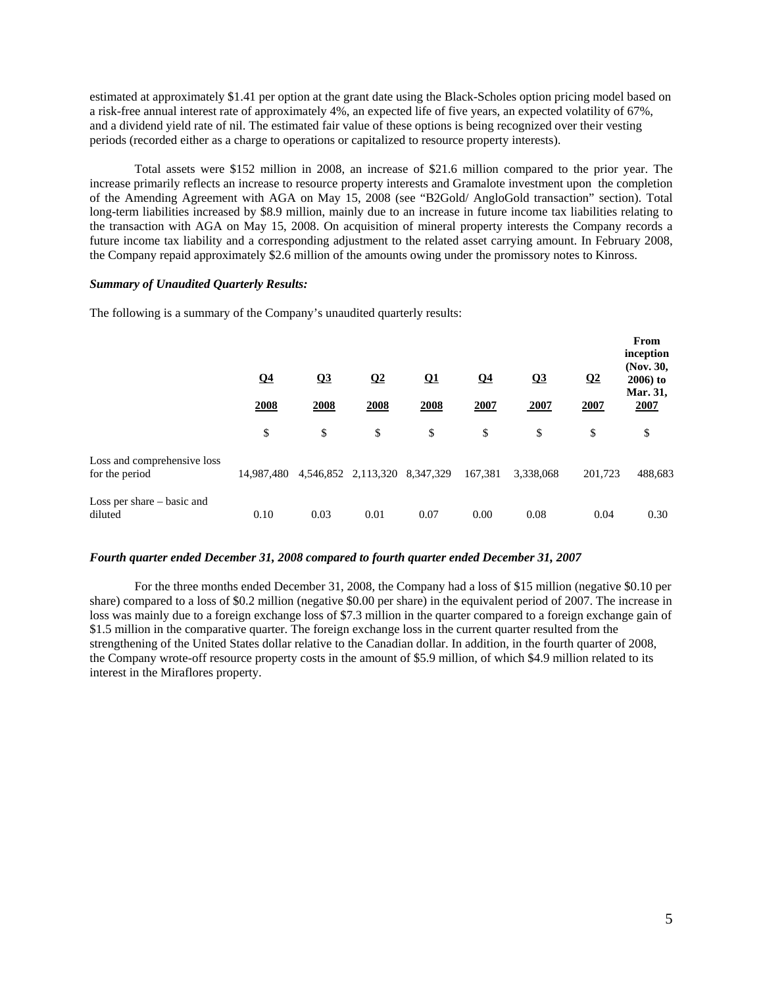estimated at approximately \$1.41 per option at the grant date using the Black-Scholes option pricing model based on a risk-free annual interest rate of approximately 4%, an expected life of five years, an expected volatility of 67%, and a dividend yield rate of nil. The estimated fair value of these options is being recognized over their vesting periods (recorded either as a charge to operations or capitalized to resource property interests).

Total assets were \$152 million in 2008, an increase of \$21.6 million compared to the prior year. The increase primarily reflects an increase to resource property interests and Gramalote investment upon the completion of the Amending Agreement with AGA on May 15, 2008 (see "B2Gold/ AngloGold transaction" section). Total long-term liabilities increased by \$8.9 million, mainly due to an increase in future income tax liabilities relating to the transaction with AGA on May 15, 2008. On acquisition of mineral property interests the Company records a future income tax liability and a corresponding adjustment to the related asset carrying amount. In February 2008, the Company repaid approximately \$2.6 million of the amounts owing under the promissory notes to Kinross.

### *Summary of Unaudited Quarterly Results:*

The following is a summary of the Company's unaudited quarterly results:

|                                               | $\Omega$ 4<br>2008 | Q <sub>3</sub><br>2008 | $\overline{02}$<br>2008       | $\Omega$<br>2008 | Q <sub>4</sub><br>2007 | Q <sub>3</sub><br>2007 | $\Omega$<br>2007 | From<br>inception<br>(Nov. 30,<br>$2006$ ) to<br>Mar. 31,<br>2007 |
|-----------------------------------------------|--------------------|------------------------|-------------------------------|------------------|------------------------|------------------------|------------------|-------------------------------------------------------------------|
|                                               | \$                 | \$                     | \$                            | \$               | \$                     | \$                     | \$               | \$                                                                |
| Loss and comprehensive loss<br>for the period | 14.987.480         |                        | 4,546,852 2,113,320 8,347,329 |                  | 167,381                | 3,338,068              | 201,723          | 488,683                                                           |
| Loss per share - basic and<br>diluted         | 0.10               | 0.03                   | 0.01                          | 0.07             | 0.00                   | 0.08                   | 0.04             | 0.30                                                              |

#### *Fourth quarter ended December 31, 2008 compared to fourth quarter ended December 31, 2007*

For the three months ended December 31, 2008, the Company had a loss of \$15 million (negative \$0.10 per share) compared to a loss of \$0.2 million (negative \$0.00 per share) in the equivalent period of 2007. The increase in loss was mainly due to a foreign exchange loss of \$7.3 million in the quarter compared to a foreign exchange gain of \$1.5 million in the comparative quarter. The foreign exchange loss in the current quarter resulted from the strengthening of the United States dollar relative to the Canadian dollar. In addition, in the fourth quarter of 2008, the Company wrote-off resource property costs in the amount of \$5.9 million, of which \$4.9 million related to its interest in the Miraflores property.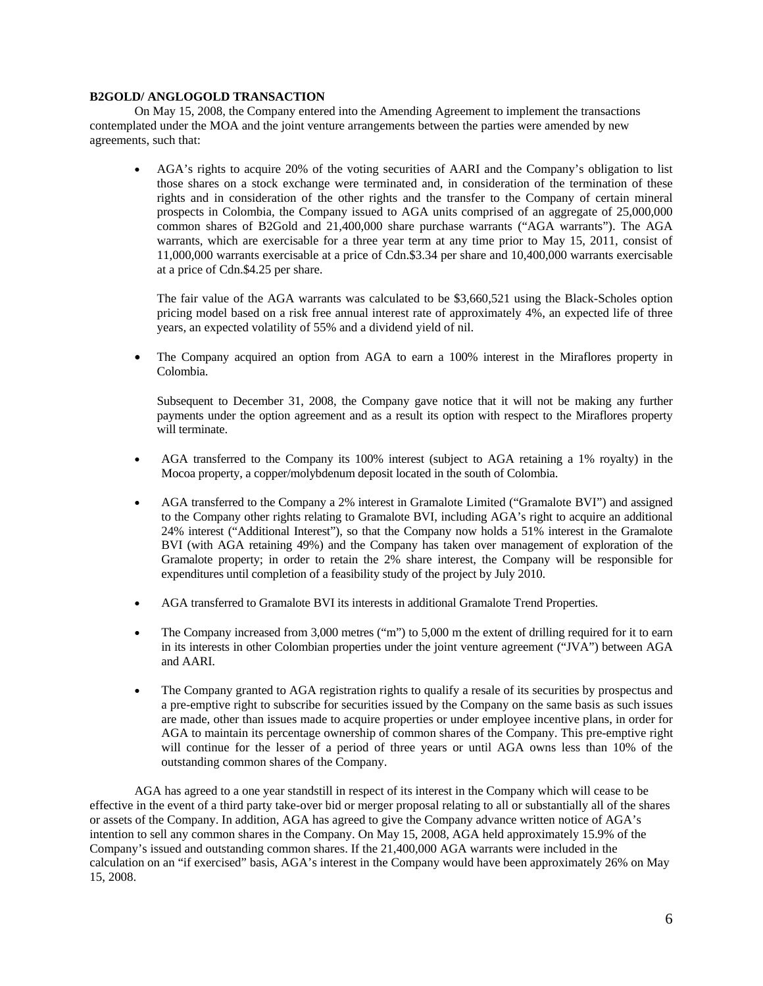# **B2GOLD/ ANGLOGOLD TRANSACTION**

On May 15, 2008, the Company entered into the Amending Agreement to implement the transactions contemplated under the MOA and the joint venture arrangements between the parties were amended by new agreements, such that:

• AGA's rights to acquire 20% of the voting securities of AARI and the Company's obligation to list those shares on a stock exchange were terminated and, in consideration of the termination of these rights and in consideration of the other rights and the transfer to the Company of certain mineral prospects in Colombia, the Company issued to AGA units comprised of an aggregate of 25,000,000 common shares of B2Gold and 21,400,000 share purchase warrants ("AGA warrants"). The AGA warrants, which are exercisable for a three year term at any time prior to May 15, 2011, consist of 11,000,000 warrants exercisable at a price of Cdn.\$3.34 per share and 10,400,000 warrants exercisable at a price of Cdn.\$4.25 per share.

The fair value of the AGA warrants was calculated to be \$3,660,521 using the Black-Scholes option pricing model based on a risk free annual interest rate of approximately 4%, an expected life of three years, an expected volatility of 55% and a dividend yield of nil.

• The Company acquired an option from AGA to earn a 100% interest in the Miraflores property in Colombia.

Subsequent to December 31, 2008, the Company gave notice that it will not be making any further payments under the option agreement and as a result its option with respect to the Miraflores property will terminate.

- AGA transferred to the Company its 100% interest (subject to AGA retaining a 1% royalty) in the Mocoa property, a copper/molybdenum deposit located in the south of Colombia.
- AGA transferred to the Company a 2% interest in Gramalote Limited ("Gramalote BVI") and assigned to the Company other rights relating to Gramalote BVI, including AGA's right to acquire an additional 24% interest ("Additional Interest"), so that the Company now holds a 51% interest in the Gramalote BVI (with AGA retaining 49%) and the Company has taken over management of exploration of the Gramalote property; in order to retain the 2% share interest, the Company will be responsible for expenditures until completion of a feasibility study of the project by July 2010.
- AGA transferred to Gramalote BVI its interests in additional Gramalote Trend Properties.
- The Company increased from 3,000 metres ("m") to 5,000 m the extent of drilling required for it to earn in its interests in other Colombian properties under the joint venture agreement ("JVA") between AGA and AARI.
- The Company granted to AGA registration rights to qualify a resale of its securities by prospectus and a pre-emptive right to subscribe for securities issued by the Company on the same basis as such issues are made, other than issues made to acquire properties or under employee incentive plans, in order for AGA to maintain its percentage ownership of common shares of the Company. This pre-emptive right will continue for the lesser of a period of three years or until AGA owns less than 10% of the outstanding common shares of the Company.

AGA has agreed to a one year standstill in respect of its interest in the Company which will cease to be effective in the event of a third party take-over bid or merger proposal relating to all or substantially all of the shares or assets of the Company. In addition, AGA has agreed to give the Company advance written notice of AGA's intention to sell any common shares in the Company. On May 15, 2008, AGA held approximately 15.9% of the Company's issued and outstanding common shares. If the 21,400,000 AGA warrants were included in the calculation on an "if exercised" basis, AGA's interest in the Company would have been approximately 26% on May 15, 2008.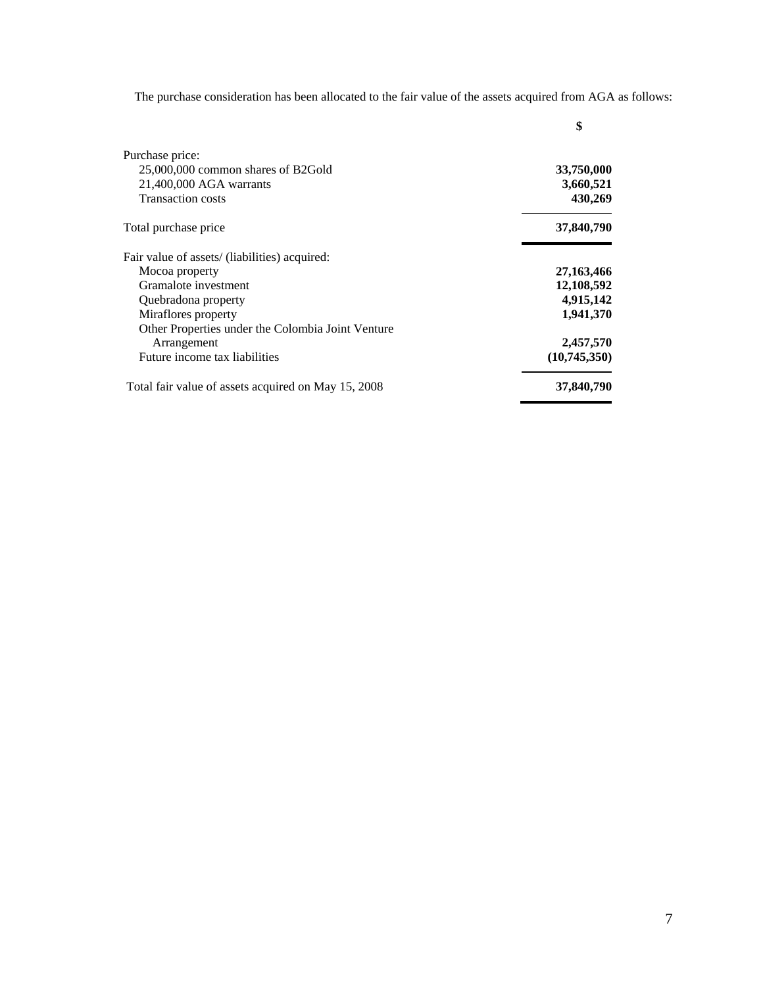The purchase consideration has been allocated to the fair value of the assets acquired from AGA as follows:

|                                                     | \$           |
|-----------------------------------------------------|--------------|
| Purchase price:                                     |              |
| 25,000,000 common shares of B2Gold                  | 33,750,000   |
| 21,400,000 AGA warrants                             | 3,660,521    |
| <b>Transaction costs</b>                            | 430,269      |
| Total purchase price                                | 37,840,790   |
| Fair value of assets/ (liabilities) acquired:       |              |
| Mocoa property                                      | 27, 163, 466 |
| Gramalote investment                                | 12,108,592   |
| Quebradona property                                 | 4,915,142    |
| Miraflores property                                 | 1,941,370    |
| Other Properties under the Colombia Joint Venture   |              |
| Arrangement                                         | 2,457,570    |
| Future income tax liabilities                       | (10,745,350) |
| Total fair value of assets acquired on May 15, 2008 | 37,840,790   |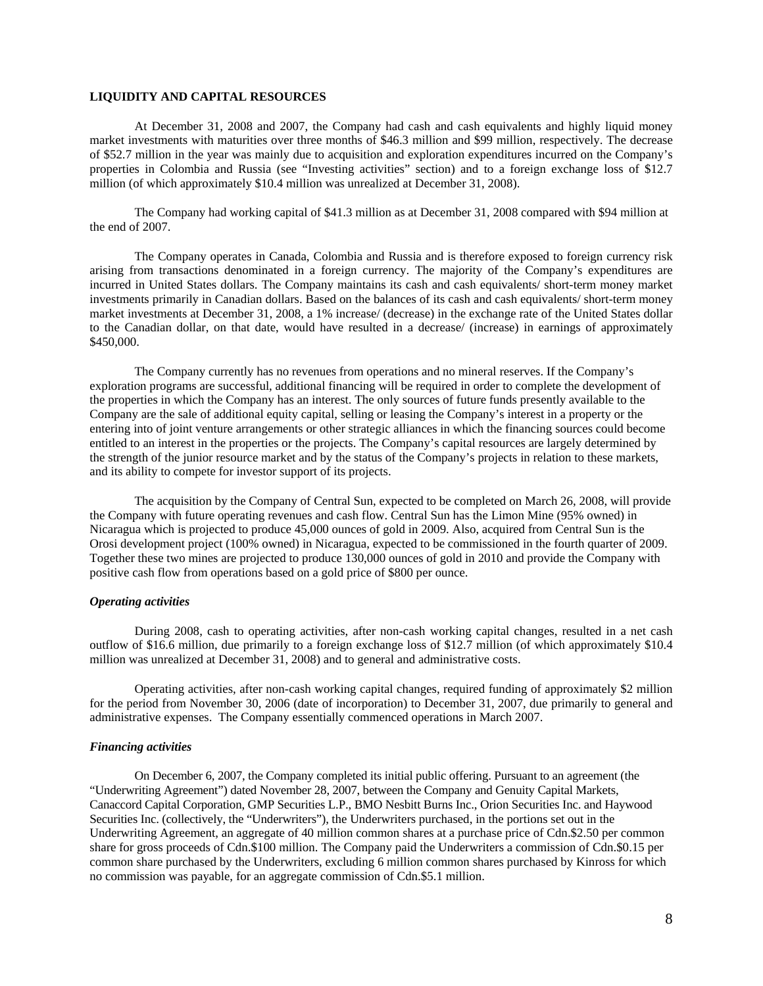# **LIQUIDITY AND CAPITAL RESOURCES**

At December 31, 2008 and 2007, the Company had cash and cash equivalents and highly liquid money market investments with maturities over three months of \$46.3 million and \$99 million, respectively. The decrease of \$52.7 million in the year was mainly due to acquisition and exploration expenditures incurred on the Company's properties in Colombia and Russia (see "Investing activities" section) and to a foreign exchange loss of \$12.7 million (of which approximately \$10.4 million was unrealized at December 31, 2008).

The Company had working capital of \$41.3 million as at December 31, 2008 compared with \$94 million at the end of 2007.

The Company operates in Canada, Colombia and Russia and is therefore exposed to foreign currency risk arising from transactions denominated in a foreign currency. The majority of the Company's expenditures are incurred in United States dollars. The Company maintains its cash and cash equivalents/ short-term money market investments primarily in Canadian dollars. Based on the balances of its cash and cash equivalents/ short-term money market investments at December 31, 2008, a 1% increase/ (decrease) in the exchange rate of the United States dollar to the Canadian dollar, on that date, would have resulted in a decrease/ (increase) in earnings of approximately \$450,000.

The Company currently has no revenues from operations and no mineral reserves. If the Company's exploration programs are successful, additional financing will be required in order to complete the development of the properties in which the Company has an interest. The only sources of future funds presently available to the Company are the sale of additional equity capital, selling or leasing the Company's interest in a property or the entering into of joint venture arrangements or other strategic alliances in which the financing sources could become entitled to an interest in the properties or the projects. The Company's capital resources are largely determined by the strength of the junior resource market and by the status of the Company's projects in relation to these markets, and its ability to compete for investor support of its projects.

The acquisition by the Company of Central Sun, expected to be completed on March 26, 2008, will provide the Company with future operating revenues and cash flow. Central Sun has the Limon Mine (95% owned) in Nicaragua which is projected to produce 45,000 ounces of gold in 2009. Also, acquired from Central Sun is the Orosi development project (100% owned) in Nicaragua, expected to be commissioned in the fourth quarter of 2009. Together these two mines are projected to produce 130,000 ounces of gold in 2010 and provide the Company with positive cash flow from operations based on a gold price of \$800 per ounce.

# *Operating activities*

During 2008, cash to operating activities, after non-cash working capital changes, resulted in a net cash outflow of \$16.6 million, due primarily to a foreign exchange loss of \$12.7 million (of which approximately \$10.4 million was unrealized at December 31, 2008) and to general and administrative costs.

Operating activities, after non-cash working capital changes, required funding of approximately \$2 million for the period from November 30, 2006 (date of incorporation) to December 31, 2007, due primarily to general and administrative expenses. The Company essentially commenced operations in March 2007.

## *Financing activities*

On December 6, 2007, the Company completed its initial public offering. Pursuant to an agreement (the "Underwriting Agreement") dated November 28, 2007, between the Company and Genuity Capital Markets, Canaccord Capital Corporation, GMP Securities L.P., BMO Nesbitt Burns Inc., Orion Securities Inc. and Haywood Securities Inc. (collectively, the "Underwriters"), the Underwriters purchased, in the portions set out in the Underwriting Agreement, an aggregate of 40 million common shares at a purchase price of Cdn.\$2.50 per common share for gross proceeds of Cdn.\$100 million. The Company paid the Underwriters a commission of Cdn.\$0.15 per common share purchased by the Underwriters, excluding 6 million common shares purchased by Kinross for which no commission was payable, for an aggregate commission of Cdn.\$5.1 million.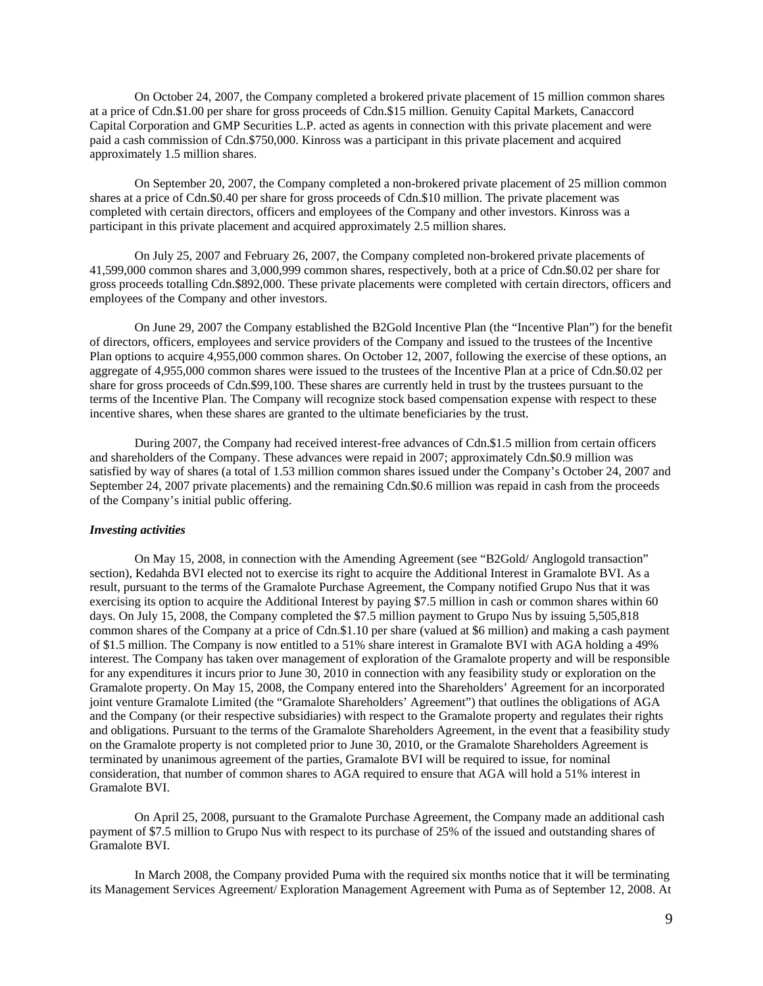On October 24, 2007, the Company completed a brokered private placement of 15 million common shares at a price of Cdn.\$1.00 per share for gross proceeds of Cdn.\$15 million. Genuity Capital Markets, Canaccord Capital Corporation and GMP Securities L.P. acted as agents in connection with this private placement and were paid a cash commission of Cdn.\$750,000. Kinross was a participant in this private placement and acquired approximately 1.5 million shares.

On September 20, 2007, the Company completed a non-brokered private placement of 25 million common shares at a price of Cdn.\$0.40 per share for gross proceeds of Cdn.\$10 million. The private placement was completed with certain directors, officers and employees of the Company and other investors. Kinross was a participant in this private placement and acquired approximately 2.5 million shares.

On July 25, 2007 and February 26, 2007, the Company completed non-brokered private placements of 41,599,000 common shares and 3,000,999 common shares, respectively, both at a price of Cdn.\$0.02 per share for gross proceeds totalling Cdn.\$892,000. These private placements were completed with certain directors, officers and employees of the Company and other investors.

On June 29, 2007 the Company established the B2Gold Incentive Plan (the "Incentive Plan") for the benefit of directors, officers, employees and service providers of the Company and issued to the trustees of the Incentive Plan options to acquire 4,955,000 common shares. On October 12, 2007, following the exercise of these options, an aggregate of 4,955,000 common shares were issued to the trustees of the Incentive Plan at a price of Cdn.\$0.02 per share for gross proceeds of Cdn.\$99,100. These shares are currently held in trust by the trustees pursuant to the terms of the Incentive Plan. The Company will recognize stock based compensation expense with respect to these incentive shares, when these shares are granted to the ultimate beneficiaries by the trust.

During 2007, the Company had received interest-free advances of Cdn.\$1.5 million from certain officers and shareholders of the Company. These advances were repaid in 2007; approximately Cdn.\$0.9 million was satisfied by way of shares (a total of 1.53 million common shares issued under the Company's October 24, 2007 and September 24, 2007 private placements) and the remaining Cdn.\$0.6 million was repaid in cash from the proceeds of the Company's initial public offering.

### *Investing activities*

On May 15, 2008, in connection with the Amending Agreement (see "B2Gold/ Anglogold transaction" section), Kedahda BVI elected not to exercise its right to acquire the Additional Interest in Gramalote BVI. As a result, pursuant to the terms of the Gramalote Purchase Agreement, the Company notified Grupo Nus that it was exercising its option to acquire the Additional Interest by paying \$7.5 million in cash or common shares within 60 days. On July 15, 2008, the Company completed the \$7.5 million payment to Grupo Nus by issuing 5,505,818 common shares of the Company at a price of Cdn.\$1.10 per share (valued at \$6 million) and making a cash payment of \$1.5 million. The Company is now entitled to a 51% share interest in Gramalote BVI with AGA holding a 49% interest. The Company has taken over management of exploration of the Gramalote property and will be responsible for any expenditures it incurs prior to June 30, 2010 in connection with any feasibility study or exploration on the Gramalote property. On May 15, 2008, the Company entered into the Shareholders' Agreement for an incorporated joint venture Gramalote Limited (the "Gramalote Shareholders' Agreement") that outlines the obligations of AGA and the Company (or their respective subsidiaries) with respect to the Gramalote property and regulates their rights and obligations. Pursuant to the terms of the Gramalote Shareholders Agreement, in the event that a feasibility study on the Gramalote property is not completed prior to June 30, 2010, or the Gramalote Shareholders Agreement is terminated by unanimous agreement of the parties, Gramalote BVI will be required to issue, for nominal consideration, that number of common shares to AGA required to ensure that AGA will hold a 51% interest in Gramalote BVI.

On April 25, 2008, pursuant to the Gramalote Purchase Agreement, the Company made an additional cash payment of \$7.5 million to Grupo Nus with respect to its purchase of 25% of the issued and outstanding shares of Gramalote BVI.

In March 2008, the Company provided Puma with the required six months notice that it will be terminating its Management Services Agreement/ Exploration Management Agreement with Puma as of September 12, 2008. At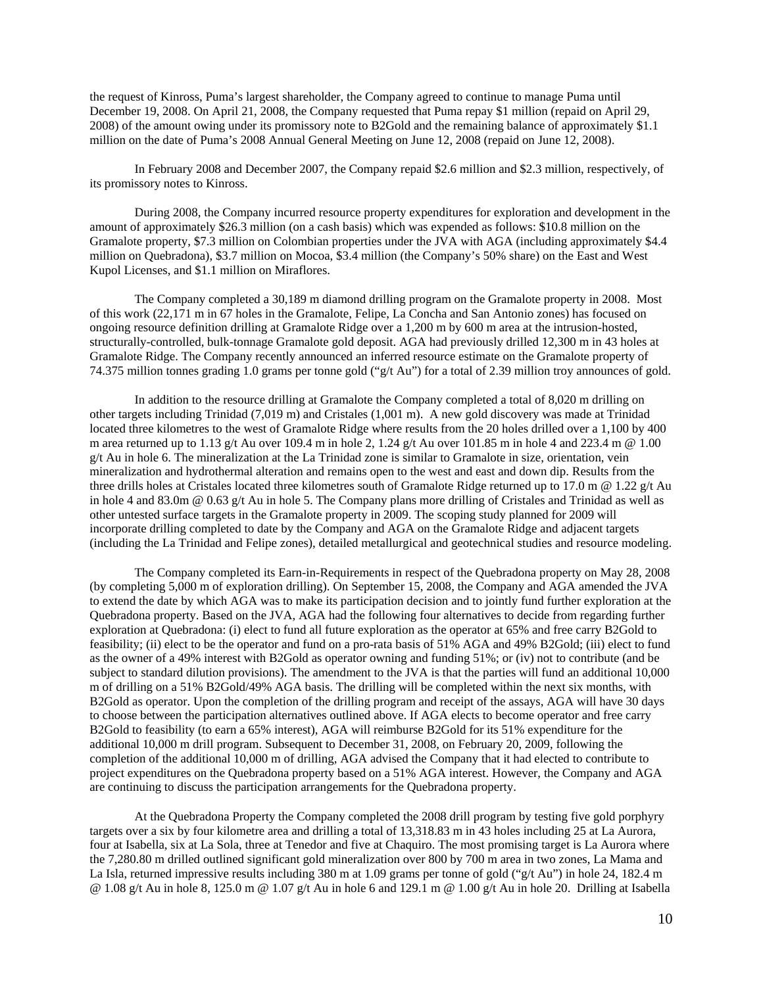the request of Kinross, Puma's largest shareholder, the Company agreed to continue to manage Puma until December 19, 2008. On April 21, 2008, the Company requested that Puma repay \$1 million (repaid on April 29, 2008) of the amount owing under its promissory note to B2Gold and the remaining balance of approximately \$1.1 million on the date of Puma's 2008 Annual General Meeting on June 12, 2008 (repaid on June 12, 2008).

In February 2008 and December 2007, the Company repaid \$2.6 million and \$2.3 million, respectively, of its promissory notes to Kinross.

During 2008, the Company incurred resource property expenditures for exploration and development in the amount of approximately \$26.3 million (on a cash basis) which was expended as follows: \$10.8 million on the Gramalote property, \$7.3 million on Colombian properties under the JVA with AGA (including approximately \$4.4 million on Quebradona), \$3.7 million on Mocoa, \$3.4 million (the Company's 50% share) on the East and West Kupol Licenses, and \$1.1 million on Miraflores.

The Company completed a 30,189 m diamond drilling program on the Gramalote property in 2008. Most of this work (22,171 m in 67 holes in the Gramalote, Felipe, La Concha and San Antonio zones) has focused on ongoing resource definition drilling at Gramalote Ridge over a 1,200 m by 600 m area at the intrusion-hosted, structurally-controlled, bulk-tonnage Gramalote gold deposit. AGA had previously drilled 12,300 m in 43 holes at Gramalote Ridge. The Company recently announced an inferred resource estimate on the Gramalote property of 74.375 million tonnes grading 1.0 grams per tonne gold ("g/t Au") for a total of 2.39 million troy announces of gold.

In addition to the resource drilling at Gramalote the Company completed a total of 8,020 m drilling on other targets including Trinidad (7,019 m) and Cristales (1,001 m). A new gold discovery was made at Trinidad located three kilometres to the west of Gramalote Ridge where results from the 20 holes drilled over a 1,100 by 400 m area returned up to 1.13 g/t Au over 109.4 m in hole 2, 1.24 g/t Au over 101.85 m in hole 4 and 223.4 m @ 1.00 g/t Au in hole 6. The mineralization at the La Trinidad zone is similar to Gramalote in size, orientation, vein mineralization and hydrothermal alteration and remains open to the west and east and down dip. Results from the three drills holes at Cristales located three kilometres south of Gramalote Ridge returned up to 17.0 m @ 1.22 g/t Au in hole 4 and 83.0m @ 0.63 g/t Au in hole 5. The Company plans more drilling of Cristales and Trinidad as well as other untested surface targets in the Gramalote property in 2009. The scoping study planned for 2009 will incorporate drilling completed to date by the Company and AGA on the Gramalote Ridge and adjacent targets (including the La Trinidad and Felipe zones), detailed metallurgical and geotechnical studies and resource modeling.

The Company completed its Earn-in-Requirements in respect of the Quebradona property on May 28, 2008 (by completing 5,000 m of exploration drilling). On September 15, 2008, the Company and AGA amended the JVA to extend the date by which AGA was to make its participation decision and to jointly fund further exploration at the Quebradona property. Based on the JVA, AGA had the following four alternatives to decide from regarding further exploration at Quebradona: (i) elect to fund all future exploration as the operator at 65% and free carry B2Gold to feasibility; (ii) elect to be the operator and fund on a pro-rata basis of 51% AGA and 49% B2Gold; (iii) elect to fund as the owner of a 49% interest with B2Gold as operator owning and funding 51%; or (iv) not to contribute (and be subject to standard dilution provisions). The amendment to the JVA is that the parties will fund an additional 10,000 m of drilling on a 51% B2Gold/49% AGA basis. The drilling will be completed within the next six months, with B2Gold as operator. Upon the completion of the drilling program and receipt of the assays, AGA will have 30 days to choose between the participation alternatives outlined above. If AGA elects to become operator and free carry B2Gold to feasibility (to earn a 65% interest), AGA will reimburse B2Gold for its 51% expenditure for the additional 10,000 m drill program. Subsequent to December 31, 2008, on February 20, 2009, following the completion of the additional 10,000 m of drilling, AGA advised the Company that it had elected to contribute to project expenditures on the Quebradona property based on a 51% AGA interest. However, the Company and AGA are continuing to discuss the participation arrangements for the Quebradona property.

At the Quebradona Property the Company completed the 2008 drill program by testing five gold porphyry targets over a six by four kilometre area and drilling a total of 13,318.83 m in 43 holes including 25 at La Aurora, four at Isabella, six at La Sola, three at Tenedor and five at Chaquiro. The most promising target is La Aurora where the 7,280.80 m drilled outlined significant gold mineralization over 800 by 700 m area in two zones, La Mama and La Isla, returned impressive results including 380 m at 1.09 grams per tonne of gold ("g/t Au") in hole 24, 182.4 m @ 1.08 g/t Au in hole 8, 125.0 m @ 1.07 g/t Au in hole 6 and 129.1 m @ 1.00 g/t Au in hole 20. Drilling at Isabella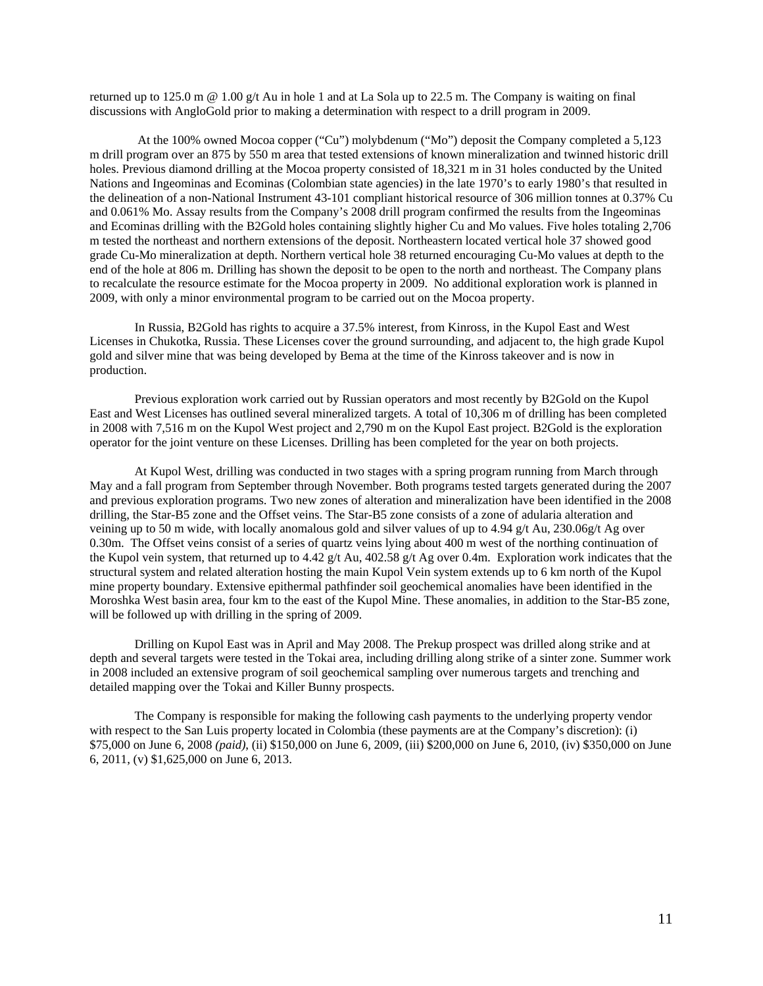returned up to 125.0 m @ 1.00 g/t Au in hole 1 and at La Sola up to 22.5 m. The Company is waiting on final discussions with AngloGold prior to making a determination with respect to a drill program in 2009.

 At the 100% owned Mocoa copper ("Cu") molybdenum ("Mo") deposit the Company completed a 5,123 m drill program over an 875 by 550 m area that tested extensions of known mineralization and twinned historic drill holes. Previous diamond drilling at the Mocoa property consisted of 18,321 m in 31 holes conducted by the United Nations and Ingeominas and Ecominas (Colombian state agencies) in the late 1970's to early 1980's that resulted in the delineation of a non-National Instrument 43-101 compliant historical resource of 306 million tonnes at 0.37% Cu and 0.061% Mo. Assay results from the Company's 2008 drill program confirmed the results from the Ingeominas and Ecominas drilling with the B2Gold holes containing slightly higher Cu and Mo values. Five holes totaling 2,706 m tested the northeast and northern extensions of the deposit. Northeastern located vertical hole 37 showed good grade Cu-Mo mineralization at depth. Northern vertical hole 38 returned encouraging Cu-Mo values at depth to the end of the hole at 806 m. Drilling has shown the deposit to be open to the north and northeast. The Company plans to recalculate the resource estimate for the Mocoa property in 2009. No additional exploration work is planned in 2009, with only a minor environmental program to be carried out on the Mocoa property.

In Russia, B2Gold has rights to acquire a 37.5% interest, from Kinross, in the Kupol East and West Licenses in Chukotka, Russia. These Licenses cover the ground surrounding, and adjacent to, the high grade Kupol gold and silver mine that was being developed by Bema at the time of the Kinross takeover and is now in production.

Previous exploration work carried out by Russian operators and most recently by B2Gold on the Kupol East and West Licenses has outlined several mineralized targets. A total of 10,306 m of drilling has been completed in 2008 with 7,516 m on the Kupol West project and 2,790 m on the Kupol East project. B2Gold is the exploration operator for the joint venture on these Licenses. Drilling has been completed for the year on both projects.

At Kupol West, drilling was conducted in two stages with a spring program running from March through May and a fall program from September through November. Both programs tested targets generated during the 2007 and previous exploration programs. Two new zones of alteration and mineralization have been identified in the 2008 drilling, the Star-B5 zone and the Offset veins. The Star-B5 zone consists of a zone of adularia alteration and veining up to 50 m wide, with locally anomalous gold and silver values of up to 4.94 g/t Au, 230.06g/t Ag over 0.30m. The Offset veins consist of a series of quartz veins lying about 400 m west of the northing continuation of the Kupol vein system, that returned up to 4.42 g/t Au, 402.58 g/t Ag over 0.4m. Exploration work indicates that the structural system and related alteration hosting the main Kupol Vein system extends up to 6 km north of the Kupol mine property boundary. Extensive epithermal pathfinder soil geochemical anomalies have been identified in the Moroshka West basin area, four km to the east of the Kupol Mine. These anomalies, in addition to the Star-B5 zone, will be followed up with drilling in the spring of 2009.

Drilling on Kupol East was in April and May 2008. The Prekup prospect was drilled along strike and at depth and several targets were tested in the Tokai area, including drilling along strike of a sinter zone. Summer work in 2008 included an extensive program of soil geochemical sampling over numerous targets and trenching and detailed mapping over the Tokai and Killer Bunny prospects.

The Company is responsible for making the following cash payments to the underlying property vendor with respect to the San Luis property located in Colombia (these payments are at the Company's discretion): (i) \$75,000 on June 6, 2008 *(paid)*, (ii) \$150,000 on June 6, 2009, (iii) \$200,000 on June 6, 2010, (iv) \$350,000 on June 6, 2011, (v) \$1,625,000 on June 6, 2013.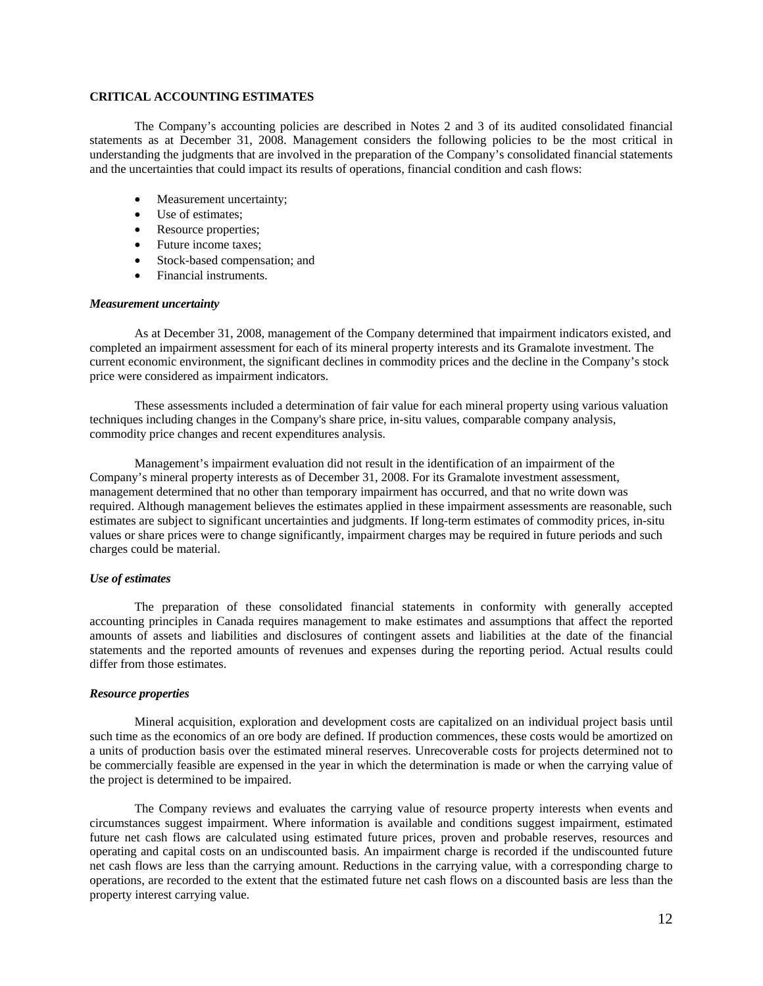# **CRITICAL ACCOUNTING ESTIMATES**

The Company's accounting policies are described in Notes 2 and 3 of its audited consolidated financial statements as at December 31, 2008. Management considers the following policies to be the most critical in understanding the judgments that are involved in the preparation of the Company's consolidated financial statements and the uncertainties that could impact its results of operations, financial condition and cash flows:

- Measurement uncertainty;
- Use of estimates:
- Resource properties;
- Future income taxes;
- Stock-based compensation; and
- Financial instruments.

## *Measurement uncertainty*

As at December 31, 2008, management of the Company determined that impairment indicators existed, and completed an impairment assessment for each of its mineral property interests and its Gramalote investment. The current economic environment, the significant declines in commodity prices and the decline in the Company's stock price were considered as impairment indicators.

These assessments included a determination of fair value for each mineral property using various valuation techniques including changes in the Company's share price, in-situ values, comparable company analysis, commodity price changes and recent expenditures analysis.

Management's impairment evaluation did not result in the identification of an impairment of the Company's mineral property interests as of December 31, 2008. For its Gramalote investment assessment, management determined that no other than temporary impairment has occurred, and that no write down was required. Although management believes the estimates applied in these impairment assessments are reasonable, such estimates are subject to significant uncertainties and judgments. If long-term estimates of commodity prices, in-situ values or share prices were to change significantly, impairment charges may be required in future periods and such charges could be material.

## *Use of estimates*

The preparation of these consolidated financial statements in conformity with generally accepted accounting principles in Canada requires management to make estimates and assumptions that affect the reported amounts of assets and liabilities and disclosures of contingent assets and liabilities at the date of the financial statements and the reported amounts of revenues and expenses during the reporting period. Actual results could differ from those estimates.

## *Resource properties*

Mineral acquisition, exploration and development costs are capitalized on an individual project basis until such time as the economics of an ore body are defined. If production commences, these costs would be amortized on a units of production basis over the estimated mineral reserves. Unrecoverable costs for projects determined not to be commercially feasible are expensed in the year in which the determination is made or when the carrying value of the project is determined to be impaired.

The Company reviews and evaluates the carrying value of resource property interests when events and circumstances suggest impairment. Where information is available and conditions suggest impairment, estimated future net cash flows are calculated using estimated future prices, proven and probable reserves, resources and operating and capital costs on an undiscounted basis. An impairment charge is recorded if the undiscounted future net cash flows are less than the carrying amount. Reductions in the carrying value, with a corresponding charge to operations, are recorded to the extent that the estimated future net cash flows on a discounted basis are less than the property interest carrying value.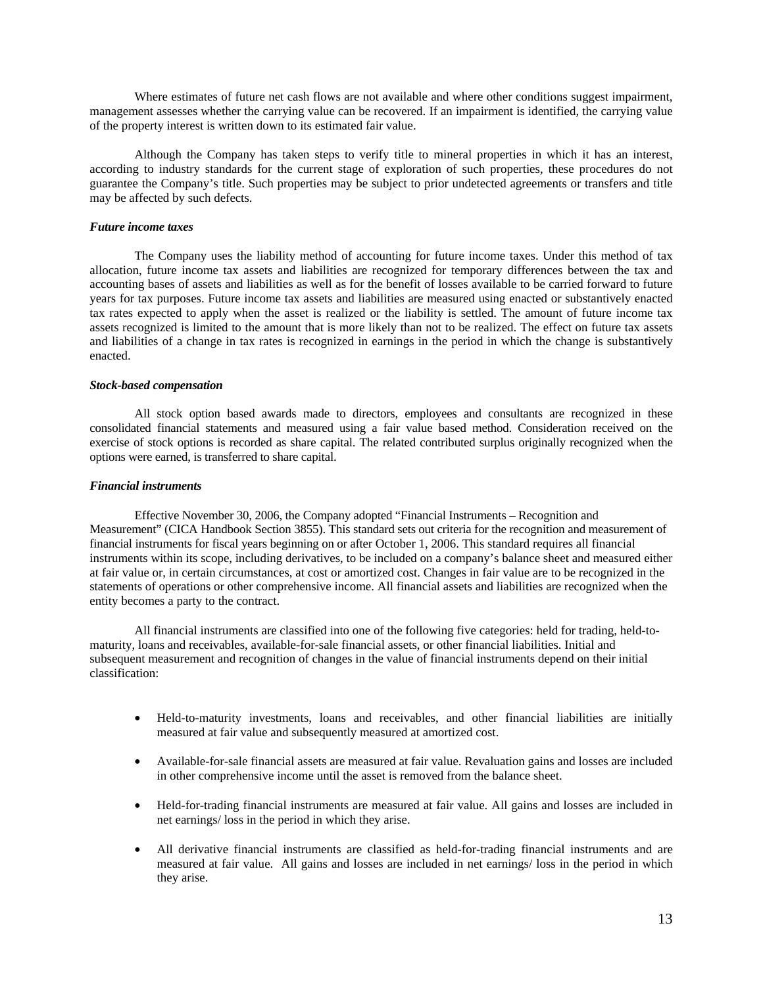Where estimates of future net cash flows are not available and where other conditions suggest impairment, management assesses whether the carrying value can be recovered. If an impairment is identified, the carrying value of the property interest is written down to its estimated fair value.

Although the Company has taken steps to verify title to mineral properties in which it has an interest, according to industry standards for the current stage of exploration of such properties, these procedures do not guarantee the Company's title. Such properties may be subject to prior undetected agreements or transfers and title may be affected by such defects.

# *Future income taxes*

The Company uses the liability method of accounting for future income taxes. Under this method of tax allocation, future income tax assets and liabilities are recognized for temporary differences between the tax and accounting bases of assets and liabilities as well as for the benefit of losses available to be carried forward to future years for tax purposes. Future income tax assets and liabilities are measured using enacted or substantively enacted tax rates expected to apply when the asset is realized or the liability is settled. The amount of future income tax assets recognized is limited to the amount that is more likely than not to be realized. The effect on future tax assets and liabilities of a change in tax rates is recognized in earnings in the period in which the change is substantively enacted.

## *Stock-based compensation*

All stock option based awards made to directors, employees and consultants are recognized in these consolidated financial statements and measured using a fair value based method. Consideration received on the exercise of stock options is recorded as share capital. The related contributed surplus originally recognized when the options were earned, is transferred to share capital.

### *Financial instruments*

Effective November 30, 2006, the Company adopted "Financial Instruments – Recognition and Measurement" (CICA Handbook Section 3855). This standard sets out criteria for the recognition and measurement of financial instruments for fiscal years beginning on or after October 1, 2006. This standard requires all financial instruments within its scope, including derivatives, to be included on a company's balance sheet and measured either at fair value or, in certain circumstances, at cost or amortized cost. Changes in fair value are to be recognized in the statements of operations or other comprehensive income. All financial assets and liabilities are recognized when the entity becomes a party to the contract.

All financial instruments are classified into one of the following five categories: held for trading, held-tomaturity, loans and receivables, available-for-sale financial assets, or other financial liabilities. Initial and subsequent measurement and recognition of changes in the value of financial instruments depend on their initial classification:

- Held-to-maturity investments, loans and receivables, and other financial liabilities are initially measured at fair value and subsequently measured at amortized cost.
- Available-for-sale financial assets are measured at fair value. Revaluation gains and losses are included in other comprehensive income until the asset is removed from the balance sheet.
- Held-for-trading financial instruments are measured at fair value. All gains and losses are included in net earnings/ loss in the period in which they arise.
- All derivative financial instruments are classified as held-for-trading financial instruments and are measured at fair value. All gains and losses are included in net earnings/ loss in the period in which they arise.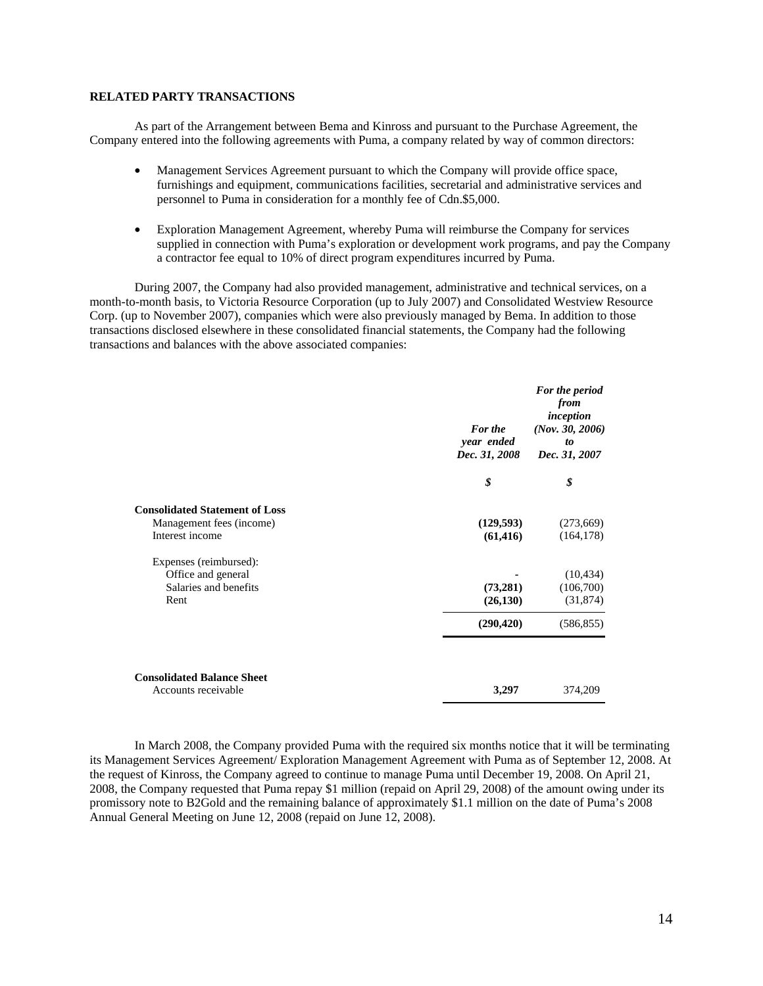# **RELATED PARTY TRANSACTIONS**

As part of the Arrangement between Bema and Kinross and pursuant to the Purchase Agreement, the Company entered into the following agreements with Puma, a company related by way of common directors:

- Management Services Agreement pursuant to which the Company will provide office space, furnishings and equipment, communications facilities, secretarial and administrative services and personnel to Puma in consideration for a monthly fee of Cdn.\$5,000.
- Exploration Management Agreement, whereby Puma will reimburse the Company for services supplied in connection with Puma's exploration or development work programs, and pay the Company a contractor fee equal to 10% of direct program expenditures incurred by Puma.

During 2007, the Company had also provided management, administrative and technical services, on a month-to-month basis, to Victoria Resource Corporation (up to July 2007) and Consolidated Westview Resource Corp. (up to November 2007), companies which were also previously managed by Bema. In addition to those transactions disclosed elsewhere in these consolidated financial statements, the Company had the following transactions and balances with the above associated companies:

|                                                                                      | For the<br>year ended<br>Dec. 31, 2008 | For the period<br>from<br>inception<br>(Nov. 30, 2006)<br>to<br>Dec. 31, 2007 |
|--------------------------------------------------------------------------------------|----------------------------------------|-------------------------------------------------------------------------------|
|                                                                                      | \$                                     | \$                                                                            |
| <b>Consolidated Statement of Loss</b><br>Management fees (income)<br>Interest income | (129, 593)<br>(61, 416)                | (273,669)<br>(164, 178)                                                       |
| Expenses (reimbursed):<br>Office and general<br>Salaries and benefits<br>Rent        | (73,281)<br>(26, 130)                  | (10, 434)<br>(106,700)<br>(31, 874)                                           |
|                                                                                      | (290, 420)                             | (586, 855)                                                                    |
| <b>Consolidated Balance Sheet</b><br>Accounts receivable                             | 3,297                                  | 374,209                                                                       |

In March 2008, the Company provided Puma with the required six months notice that it will be terminating its Management Services Agreement/ Exploration Management Agreement with Puma as of September 12, 2008. At the request of Kinross, the Company agreed to continue to manage Puma until December 19, 2008. On April 21, 2008, the Company requested that Puma repay \$1 million (repaid on April 29, 2008) of the amount owing under its promissory note to B2Gold and the remaining balance of approximately \$1.1 million on the date of Puma's 2008 Annual General Meeting on June 12, 2008 (repaid on June 12, 2008).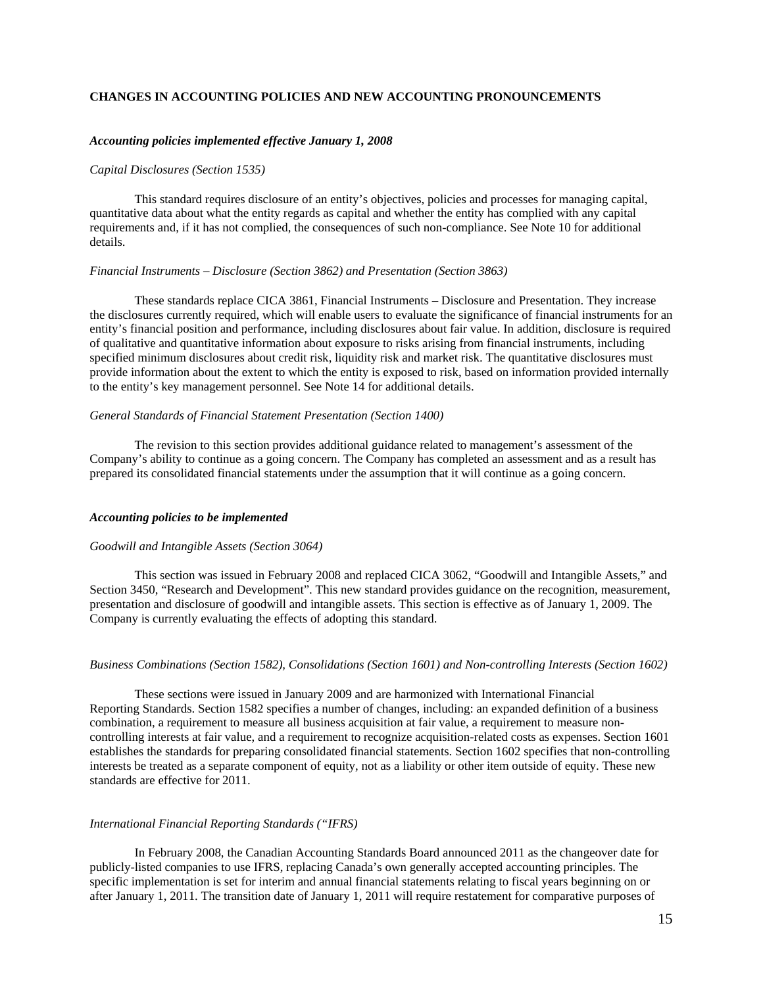# **CHANGES IN ACCOUNTING POLICIES AND NEW ACCOUNTING PRONOUNCEMENTS**

#### *Accounting policies implemented effective January 1, 2008*

#### *Capital Disclosures (Section 1535)*

This standard requires disclosure of an entity's objectives, policies and processes for managing capital, quantitative data about what the entity regards as capital and whether the entity has complied with any capital requirements and, if it has not complied, the consequences of such non-compliance. See Note 10 for additional details.

#### *Financial Instruments – Disclosure (Section 3862) and Presentation (Section 3863)*

These standards replace CICA 3861, Financial Instruments – Disclosure and Presentation. They increase the disclosures currently required, which will enable users to evaluate the significance of financial instruments for an entity's financial position and performance, including disclosures about fair value. In addition, disclosure is required of qualitative and quantitative information about exposure to risks arising from financial instruments, including specified minimum disclosures about credit risk, liquidity risk and market risk. The quantitative disclosures must provide information about the extent to which the entity is exposed to risk, based on information provided internally to the entity's key management personnel. See Note 14 for additional details.

#### *General Standards of Financial Statement Presentation (Section 1400)*

The revision to this section provides additional guidance related to management's assessment of the Company's ability to continue as a going concern. The Company has completed an assessment and as a result has prepared its consolidated financial statements under the assumption that it will continue as a going concern.

#### *Accounting policies to be implemented*

### *Goodwill and Intangible Assets (Section 3064)*

This section was issued in February 2008 and replaced CICA 3062, "Goodwill and Intangible Assets," and Section 3450, "Research and Development". This new standard provides guidance on the recognition, measurement, presentation and disclosure of goodwill and intangible assets. This section is effective as of January 1, 2009. The Company is currently evaluating the effects of adopting this standard.

### *Business Combinations (Section 1582), Consolidations (Section 1601) and Non-controlling Interests (Section 1602)*

These sections were issued in January 2009 and are harmonized with International Financial Reporting Standards. Section 1582 specifies a number of changes, including: an expanded definition of a business combination, a requirement to measure all business acquisition at fair value, a requirement to measure noncontrolling interests at fair value, and a requirement to recognize acquisition-related costs as expenses. Section 1601 establishes the standards for preparing consolidated financial statements. Section 1602 specifies that non-controlling interests be treated as a separate component of equity, not as a liability or other item outside of equity. These new standards are effective for 2011.

#### *International Financial Reporting Standards ("IFRS)*

In February 2008, the Canadian Accounting Standards Board announced 2011 as the changeover date for publicly-listed companies to use IFRS, replacing Canada's own generally accepted accounting principles. The specific implementation is set for interim and annual financial statements relating to fiscal years beginning on or after January 1, 2011. The transition date of January 1, 2011 will require restatement for comparative purposes of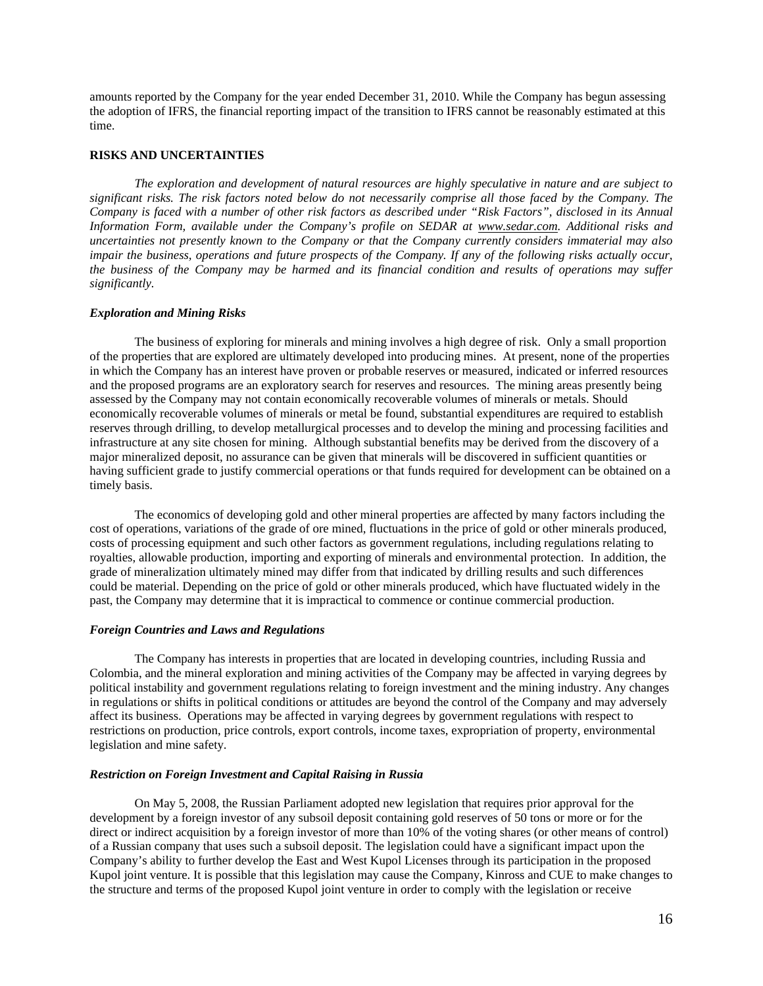amounts reported by the Company for the year ended December 31, 2010. While the Company has begun assessing the adoption of IFRS, the financial reporting impact of the transition to IFRS cannot be reasonably estimated at this time.

### **RISKS AND UNCERTAINTIES**

*The exploration and development of natural resources are highly speculative in nature and are subject to significant risks. The risk factors noted below do not necessarily comprise all those faced by the Company. The Company is faced with a number of other risk factors as described under "Risk Factors", disclosed in its Annual Information Form, available under the Company's profile on SEDAR at www.sedar.com. Additional risks and uncertainties not presently known to the Company or that the Company currently considers immaterial may also impair the business, operations and future prospects of the Company. If any of the following risks actually occur, the business of the Company may be harmed and its financial condition and results of operations may suffer significantly.* 

### *Exploration and Mining Risks*

The business of exploring for minerals and mining involves a high degree of risk. Only a small proportion of the properties that are explored are ultimately developed into producing mines. At present, none of the properties in which the Company has an interest have proven or probable reserves or measured, indicated or inferred resources and the proposed programs are an exploratory search for reserves and resources. The mining areas presently being assessed by the Company may not contain economically recoverable volumes of minerals or metals. Should economically recoverable volumes of minerals or metal be found, substantial expenditures are required to establish reserves through drilling, to develop metallurgical processes and to develop the mining and processing facilities and infrastructure at any site chosen for mining. Although substantial benefits may be derived from the discovery of a major mineralized deposit, no assurance can be given that minerals will be discovered in sufficient quantities or having sufficient grade to justify commercial operations or that funds required for development can be obtained on a timely basis.

The economics of developing gold and other mineral properties are affected by many factors including the cost of operations, variations of the grade of ore mined, fluctuations in the price of gold or other minerals produced, costs of processing equipment and such other factors as government regulations, including regulations relating to royalties, allowable production, importing and exporting of minerals and environmental protection. In addition, the grade of mineralization ultimately mined may differ from that indicated by drilling results and such differences could be material. Depending on the price of gold or other minerals produced, which have fluctuated widely in the past, the Company may determine that it is impractical to commence or continue commercial production.

#### *Foreign Countries and Laws and Regulations*

The Company has interests in properties that are located in developing countries, including Russia and Colombia, and the mineral exploration and mining activities of the Company may be affected in varying degrees by political instability and government regulations relating to foreign investment and the mining industry. Any changes in regulations or shifts in political conditions or attitudes are beyond the control of the Company and may adversely affect its business. Operations may be affected in varying degrees by government regulations with respect to restrictions on production, price controls, export controls, income taxes, expropriation of property, environmental legislation and mine safety.

### *Restriction on Foreign Investment and Capital Raising in Russia*

On May 5, 2008, the Russian Parliament adopted new legislation that requires prior approval for the development by a foreign investor of any subsoil deposit containing gold reserves of 50 tons or more or for the direct or indirect acquisition by a foreign investor of more than 10% of the voting shares (or other means of control) of a Russian company that uses such a subsoil deposit. The legislation could have a significant impact upon the Company's ability to further develop the East and West Kupol Licenses through its participation in the proposed Kupol joint venture. It is possible that this legislation may cause the Company, Kinross and CUE to make changes to the structure and terms of the proposed Kupol joint venture in order to comply with the legislation or receive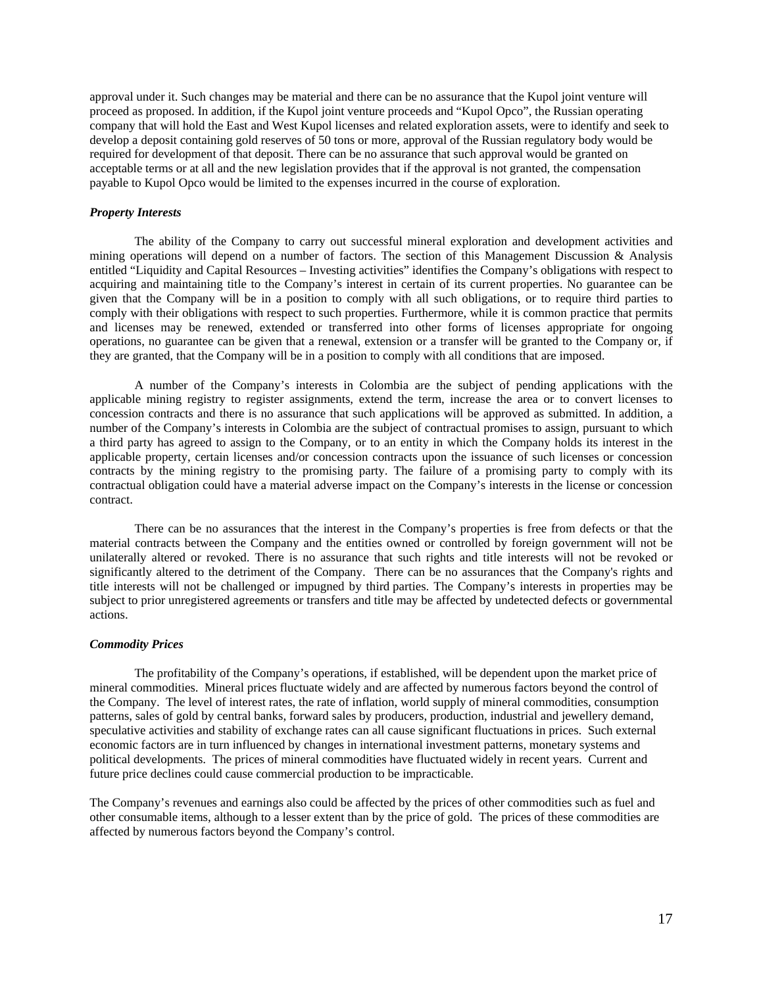approval under it. Such changes may be material and there can be no assurance that the Kupol joint venture will proceed as proposed. In addition, if the Kupol joint venture proceeds and "Kupol Opco", the Russian operating company that will hold the East and West Kupol licenses and related exploration assets, were to identify and seek to develop a deposit containing gold reserves of 50 tons or more, approval of the Russian regulatory body would be required for development of that deposit. There can be no assurance that such approval would be granted on acceptable terms or at all and the new legislation provides that if the approval is not granted, the compensation payable to Kupol Opco would be limited to the expenses incurred in the course of exploration.

### *Property Interests*

The ability of the Company to carry out successful mineral exploration and development activities and mining operations will depend on a number of factors. The section of this Management Discussion & Analysis entitled "Liquidity and Capital Resources – Investing activities" identifies the Company's obligations with respect to acquiring and maintaining title to the Company's interest in certain of its current properties. No guarantee can be given that the Company will be in a position to comply with all such obligations, or to require third parties to comply with their obligations with respect to such properties. Furthermore, while it is common practice that permits and licenses may be renewed, extended or transferred into other forms of licenses appropriate for ongoing operations, no guarantee can be given that a renewal, extension or a transfer will be granted to the Company or, if they are granted, that the Company will be in a position to comply with all conditions that are imposed.

A number of the Company's interests in Colombia are the subject of pending applications with the applicable mining registry to register assignments, extend the term, increase the area or to convert licenses to concession contracts and there is no assurance that such applications will be approved as submitted. In addition, a number of the Company's interests in Colombia are the subject of contractual promises to assign, pursuant to which a third party has agreed to assign to the Company, or to an entity in which the Company holds its interest in the applicable property, certain licenses and/or concession contracts upon the issuance of such licenses or concession contracts by the mining registry to the promising party. The failure of a promising party to comply with its contractual obligation could have a material adverse impact on the Company's interests in the license or concession contract.

There can be no assurances that the interest in the Company's properties is free from defects or that the material contracts between the Company and the entities owned or controlled by foreign government will not be unilaterally altered or revoked. There is no assurance that such rights and title interests will not be revoked or significantly altered to the detriment of the Company. There can be no assurances that the Company's rights and title interests will not be challenged or impugned by third parties. The Company's interests in properties may be subject to prior unregistered agreements or transfers and title may be affected by undetected defects or governmental actions.

### *Commodity Prices*

The profitability of the Company's operations, if established, will be dependent upon the market price of mineral commodities. Mineral prices fluctuate widely and are affected by numerous factors beyond the control of the Company. The level of interest rates, the rate of inflation, world supply of mineral commodities, consumption patterns, sales of gold by central banks, forward sales by producers, production, industrial and jewellery demand, speculative activities and stability of exchange rates can all cause significant fluctuations in prices. Such external economic factors are in turn influenced by changes in international investment patterns, monetary systems and political developments. The prices of mineral commodities have fluctuated widely in recent years. Current and future price declines could cause commercial production to be impracticable.

The Company's revenues and earnings also could be affected by the prices of other commodities such as fuel and other consumable items, although to a lesser extent than by the price of gold. The prices of these commodities are affected by numerous factors beyond the Company's control.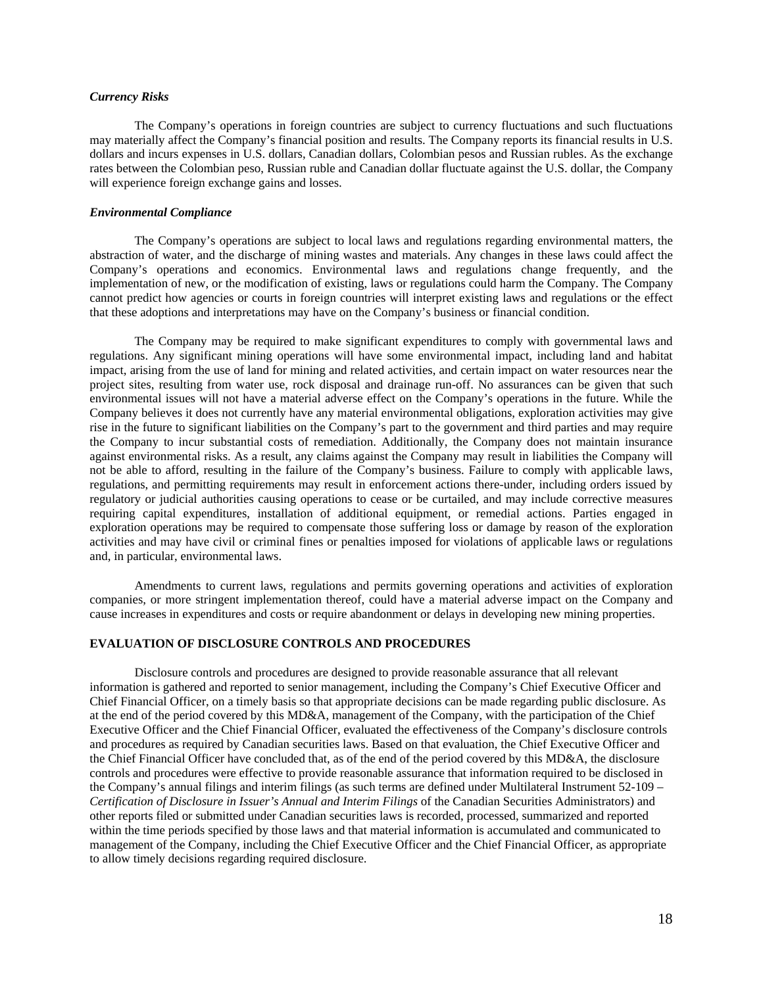# *Currency Risks*

The Company's operations in foreign countries are subject to currency fluctuations and such fluctuations may materially affect the Company's financial position and results. The Company reports its financial results in U.S. dollars and incurs expenses in U.S. dollars, Canadian dollars, Colombian pesos and Russian rubles. As the exchange rates between the Colombian peso, Russian ruble and Canadian dollar fluctuate against the U.S. dollar, the Company will experience foreign exchange gains and losses.

#### *Environmental Compliance*

The Company's operations are subject to local laws and regulations regarding environmental matters, the abstraction of water, and the discharge of mining wastes and materials. Any changes in these laws could affect the Company's operations and economics. Environmental laws and regulations change frequently, and the implementation of new, or the modification of existing, laws or regulations could harm the Company. The Company cannot predict how agencies or courts in foreign countries will interpret existing laws and regulations or the effect that these adoptions and interpretations may have on the Company's business or financial condition.

The Company may be required to make significant expenditures to comply with governmental laws and regulations. Any significant mining operations will have some environmental impact, including land and habitat impact, arising from the use of land for mining and related activities, and certain impact on water resources near the project sites, resulting from water use, rock disposal and drainage run-off. No assurances can be given that such environmental issues will not have a material adverse effect on the Company's operations in the future. While the Company believes it does not currently have any material environmental obligations, exploration activities may give rise in the future to significant liabilities on the Company's part to the government and third parties and may require the Company to incur substantial costs of remediation. Additionally, the Company does not maintain insurance against environmental risks. As a result, any claims against the Company may result in liabilities the Company will not be able to afford, resulting in the failure of the Company's business. Failure to comply with applicable laws, regulations, and permitting requirements may result in enforcement actions there-under, including orders issued by regulatory or judicial authorities causing operations to cease or be curtailed, and may include corrective measures requiring capital expenditures, installation of additional equipment, or remedial actions. Parties engaged in exploration operations may be required to compensate those suffering loss or damage by reason of the exploration activities and may have civil or criminal fines or penalties imposed for violations of applicable laws or regulations and, in particular, environmental laws.

Amendments to current laws, regulations and permits governing operations and activities of exploration companies, or more stringent implementation thereof, could have a material adverse impact on the Company and cause increases in expenditures and costs or require abandonment or delays in developing new mining properties.

# **EVALUATION OF DISCLOSURE CONTROLS AND PROCEDURES**

Disclosure controls and procedures are designed to provide reasonable assurance that all relevant information is gathered and reported to senior management, including the Company's Chief Executive Officer and Chief Financial Officer, on a timely basis so that appropriate decisions can be made regarding public disclosure. As at the end of the period covered by this MD&A, management of the Company, with the participation of the Chief Executive Officer and the Chief Financial Officer, evaluated the effectiveness of the Company's disclosure controls and procedures as required by Canadian securities laws. Based on that evaluation, the Chief Executive Officer and the Chief Financial Officer have concluded that, as of the end of the period covered by this MD&A, the disclosure controls and procedures were effective to provide reasonable assurance that information required to be disclosed in the Company's annual filings and interim filings (as such terms are defined under Multilateral Instrument 52-109 – *Certification of Disclosure in Issuer's Annual and Interim Filings* of the Canadian Securities Administrators) and other reports filed or submitted under Canadian securities laws is recorded, processed, summarized and reported within the time periods specified by those laws and that material information is accumulated and communicated to management of the Company, including the Chief Executive Officer and the Chief Financial Officer, as appropriate to allow timely decisions regarding required disclosure.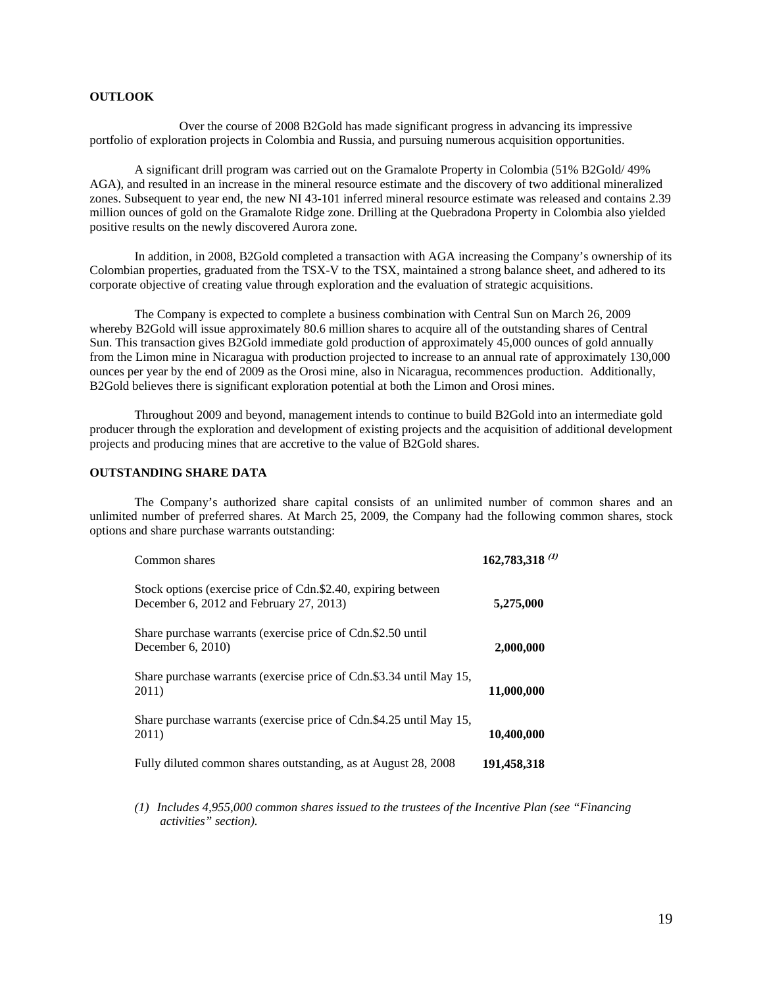# **OUTLOOK**

 Over the course of 2008 B2Gold has made significant progress in advancing its impressive portfolio of exploration projects in Colombia and Russia, and pursuing numerous acquisition opportunities.

A significant drill program was carried out on the Gramalote Property in Colombia (51% B2Gold/ 49% AGA), and resulted in an increase in the mineral resource estimate and the discovery of two additional mineralized zones. Subsequent to year end, the new NI 43-101 inferred mineral resource estimate was released and contains 2.39 million ounces of gold on the Gramalote Ridge zone. Drilling at the Quebradona Property in Colombia also yielded positive results on the newly discovered Aurora zone.

In addition, in 2008, B2Gold completed a transaction with AGA increasing the Company's ownership of its Colombian properties, graduated from the TSX-V to the TSX, maintained a strong balance sheet, and adhered to its corporate objective of creating value through exploration and the evaluation of strategic acquisitions.

The Company is expected to complete a business combination with Central Sun on March 26, 2009 whereby B2Gold will issue approximately 80.6 million shares to acquire all of the outstanding shares of Central Sun. This transaction gives B2Gold immediate gold production of approximately 45,000 ounces of gold annually from the Limon mine in Nicaragua with production projected to increase to an annual rate of approximately 130,000 ounces per year by the end of 2009 as the Orosi mine, also in Nicaragua, recommences production. Additionally, B2Gold believes there is significant exploration potential at both the Limon and Orosi mines.

Throughout 2009 and beyond, management intends to continue to build B2Gold into an intermediate gold producer through the exploration and development of existing projects and the acquisition of additional development projects and producing mines that are accretive to the value of B2Gold shares.

# **OUTSTANDING SHARE DATA**

The Company's authorized share capital consists of an unlimited number of common shares and an unlimited number of preferred shares. At March 25, 2009, the Company had the following common shares, stock options and share purchase warrants outstanding:

| Common shares                                                                                            | $162,783,318$ <sup>(1)</sup> |
|----------------------------------------------------------------------------------------------------------|------------------------------|
| Stock options (exercise price of Cdn.\$2.40, expiring between<br>December 6, 2012 and February 27, 2013) | 5,275,000                    |
| Share purchase warrants (exercise price of Cdn.\$2.50 until<br>December $6, 2010$                        | 2,000,000                    |
| Share purchase warrants (exercise price of Cdn.\$3.34 until May 15,<br>2011)                             | 11,000,000                   |
| Share purchase warrants (exercise price of Cdn.\$4.25 until May 15,<br>2011)                             | 10,400,000                   |
| Fully diluted common shares outstanding, as at August 28, 2008                                           | 191,458,318                  |

*(1) Includes 4,955,000 common shares issued to the trustees of the Incentive Plan (see "Financing activities" section).*